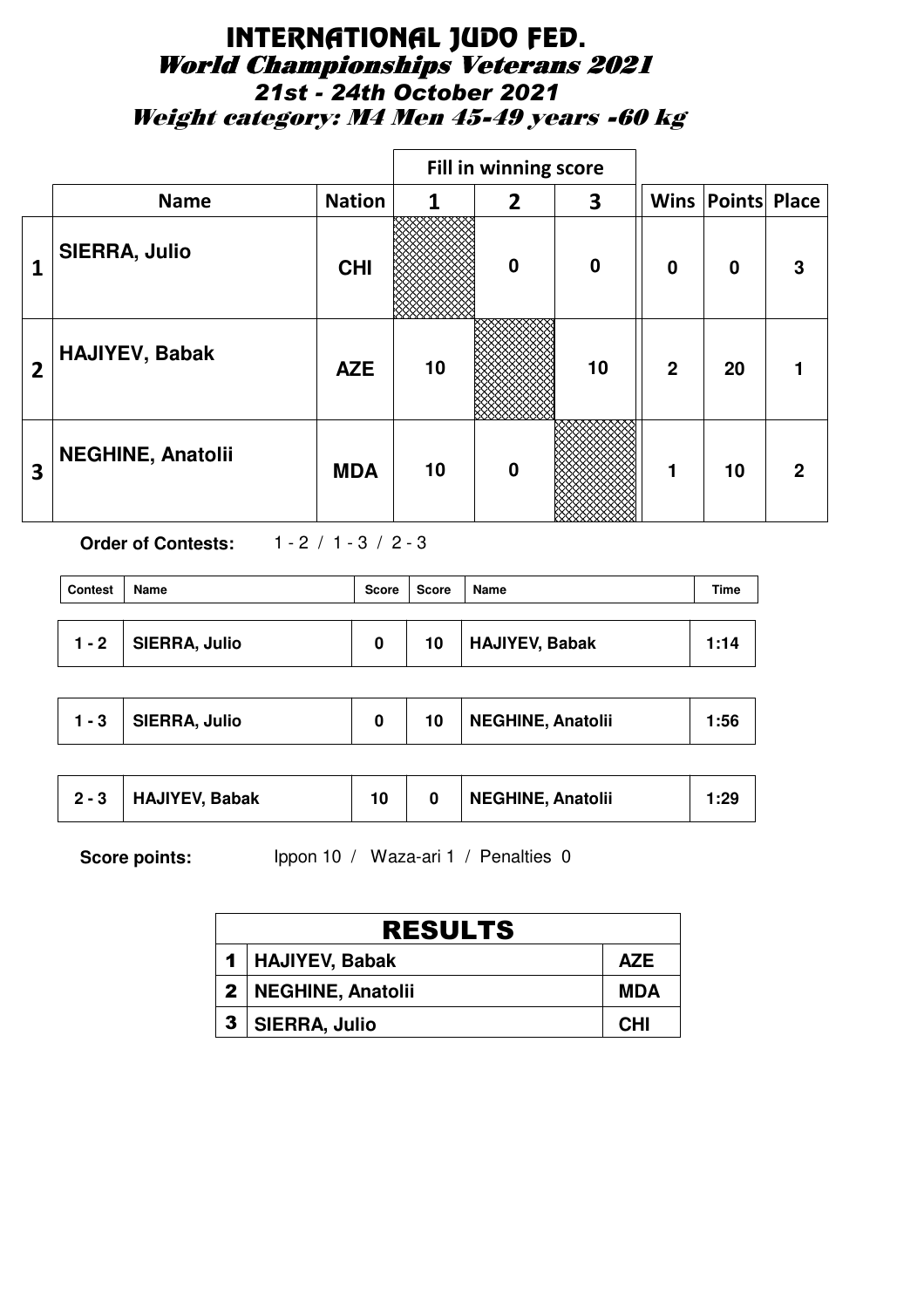## INTERNATIONAL JUDO FED. World Championships Veterans 2021 *21st - 24th October 2021* Weight category: M4 Men 45-49 years -60 kg

|                         |                          |               |    | Fill in winning score |          |                |                          |   |
|-------------------------|--------------------------|---------------|----|-----------------------|----------|----------------|--------------------------|---|
|                         | <b>Name</b>              | <b>Nation</b> | 1  | $\overline{2}$        | 3        |                | <b>Wins Points Place</b> |   |
| 1                       | <b>SIERRA, Julio</b>     | <b>CHI</b>    |    | $\bf{0}$              | $\bf{0}$ | $\mathbf 0$    | $\mathbf 0$              | 3 |
| $\overline{2}$          | <b>HAJIYEV, Babak</b>    | <b>AZE</b>    | 10 |                       | 10       | $\overline{2}$ | 20                       |   |
| $\overline{\mathbf{3}}$ | <b>NEGHINE, Anatolii</b> | <b>MDA</b>    | 10 | $\bf{0}$              |          | 1              | 10                       | 2 |

**Order of Contests:** 1 - 2 / 1 - 3 / 2 - 3

| <b>Contest</b> | Name          | Score | Score | Name           | Time |
|----------------|---------------|-------|-------|----------------|------|
| $1 - 2$        | SIERRA, Julio | n     | 10    | HAJIYEV, Babak | 1:14 |

| <b>NEGHINE, Anatolii</b><br>SIERRA, Julio<br>$1 - 3$ | 1:56 |
|------------------------------------------------------|------|
|------------------------------------------------------|------|

| $2 - 3$ | <b>HAJIYEV, Babak</b> | 10 |  | <b>NEGHINE, Anatolii</b> | 1:29 |
|---------|-----------------------|----|--|--------------------------|------|
|---------|-----------------------|----|--|--------------------------|------|

Score points: Ippon 10 / Waza-ari 1 / Penalties 0

|                | <b>RESULTS</b>        |            |  |  |  |  |  |  |  |
|----------------|-----------------------|------------|--|--|--|--|--|--|--|
|                | 1   HAJIYEV, Babak    | <b>AZE</b> |  |  |  |  |  |  |  |
|                | 2   NEGHINE, Anatolii | MDA        |  |  |  |  |  |  |  |
| 3 <sup>1</sup> | <b>SIERRA, Julio</b>  | <b>CHI</b> |  |  |  |  |  |  |  |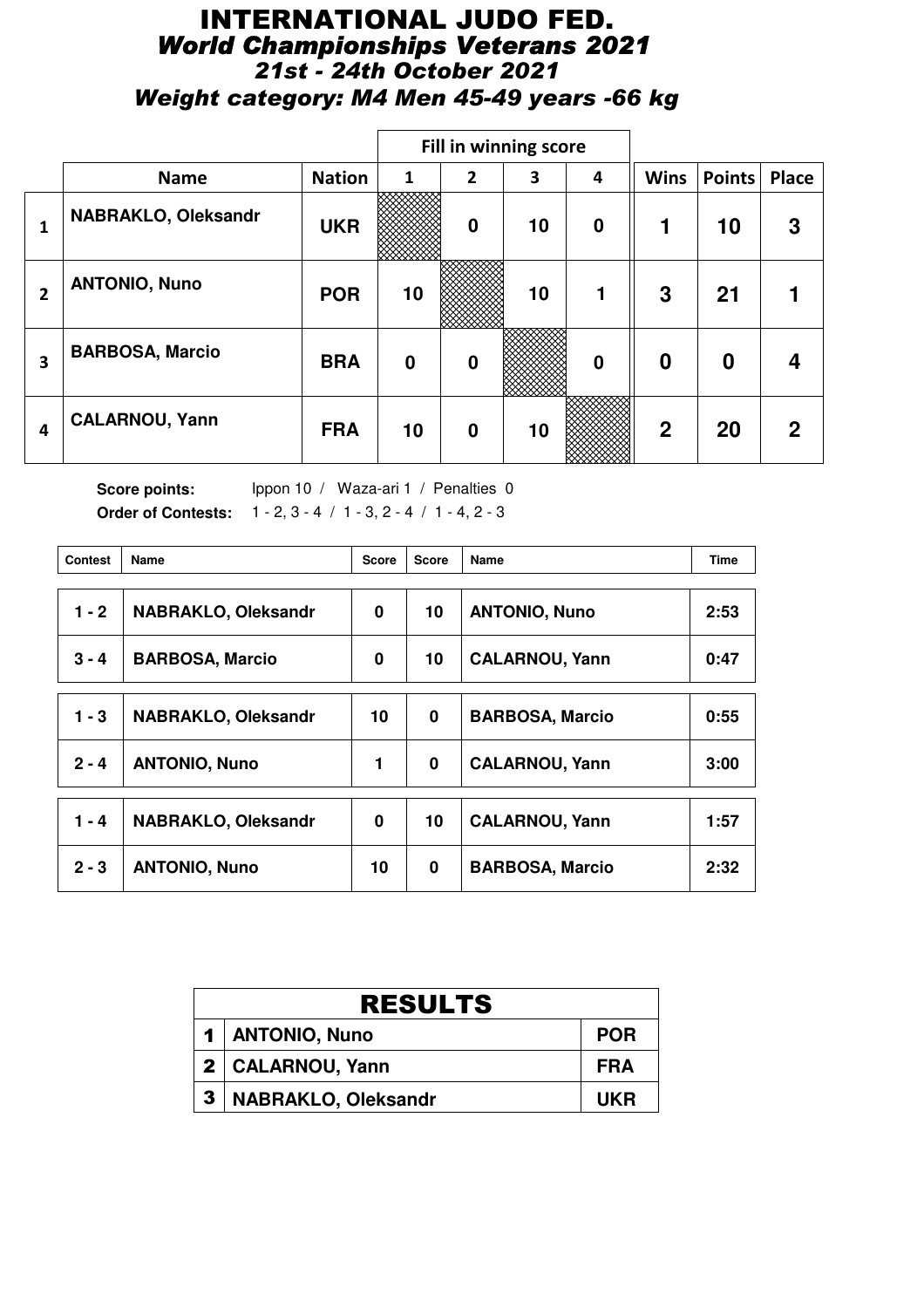## INTERNATIONAL JUDO FED. *World Championships Veterans 2021 21st - 24th October 2021 Weight category: M4 Men 45-49 years -66 kg*

|                |                            |               |                  | <b>Fill in winning score</b> |    |                  |                |               |       |
|----------------|----------------------------|---------------|------------------|------------------------------|----|------------------|----------------|---------------|-------|
|                | <b>Name</b>                | <b>Nation</b> | 1                | $\overline{2}$               | 3  | 4                | <b>Wins</b>    | <b>Points</b> | Place |
| 1              | <b>NABRAKLO, Oleksandr</b> | <b>UKR</b>    |                  | $\mathbf 0$                  | 10 | $\boldsymbol{0}$ | 1              | 10            | 3     |
| $\overline{2}$ | <b>ANTONIO, Nuno</b>       | <b>POR</b>    | 10               |                              | 10 | 1                | 3              | 21            |       |
| 3              | <b>BARBOSA, Marcio</b>     | <b>BRA</b>    | $\boldsymbol{0}$ | $\bf{0}$                     |    | $\bf{0}$         | $\bf{0}$       | 0             | 4     |
| 4              | <b>CALARNOU, Yann</b>      | <b>FRA</b>    | 10               | $\mathbf 0$                  | 10 |                  | $\overline{2}$ | 20            | 2     |

Score points: Ippon 10 / Waza-ari 1 / Penalties 0 **Order of Contests:** 1 - 2, 3 - 4 / 1 - 3, 2 - 4 / 1 - 4, 2 - 3

| <b>Contest</b> | Name                       | <b>Score</b> | <b>Score</b> | Name                   | <b>Time</b> |
|----------------|----------------------------|--------------|--------------|------------------------|-------------|
| $1 - 2$        | <b>NABRAKLO, Oleksandr</b> | 0            | 10           | <b>ANTONIO, Nuno</b>   | 2:53        |
| $3 - 4$        | <b>BARBOSA, Marcio</b>     | 0            | 10           | <b>CALARNOU, Yann</b>  | 0:47        |
| $1 - 3$        | <b>NABRAKLO, Oleksandr</b> | 10           | 0            | <b>BARBOSA, Marcio</b> | 0:55        |
| $2 - 4$        | <b>ANTONIO, Nuno</b>       | 1            | 0            | <b>CALARNOU, Yann</b>  | 3:00        |
| $1 - 4$        | <b>NABRAKLO, Oleksandr</b> | 0            | 10           | <b>CALARNOU, Yann</b>  | 1:57        |
| $2 - 3$        | <b>ANTONIO, Nuno</b>       | 10           | $\bf{0}$     | <b>BARBOSA, Marcio</b> | 2:32        |

|              | <b>RESULTS</b>             |            |  |  |  |  |  |  |  |
|--------------|----------------------------|------------|--|--|--|--|--|--|--|
|              | 1   ANTONIO, Nuno          | <b>POR</b> |  |  |  |  |  |  |  |
|              | 2   CALARNOU, Yann         | FRA        |  |  |  |  |  |  |  |
| $\mathbf{3}$ | <b>NABRAKLO, Oleksandr</b> | UKR        |  |  |  |  |  |  |  |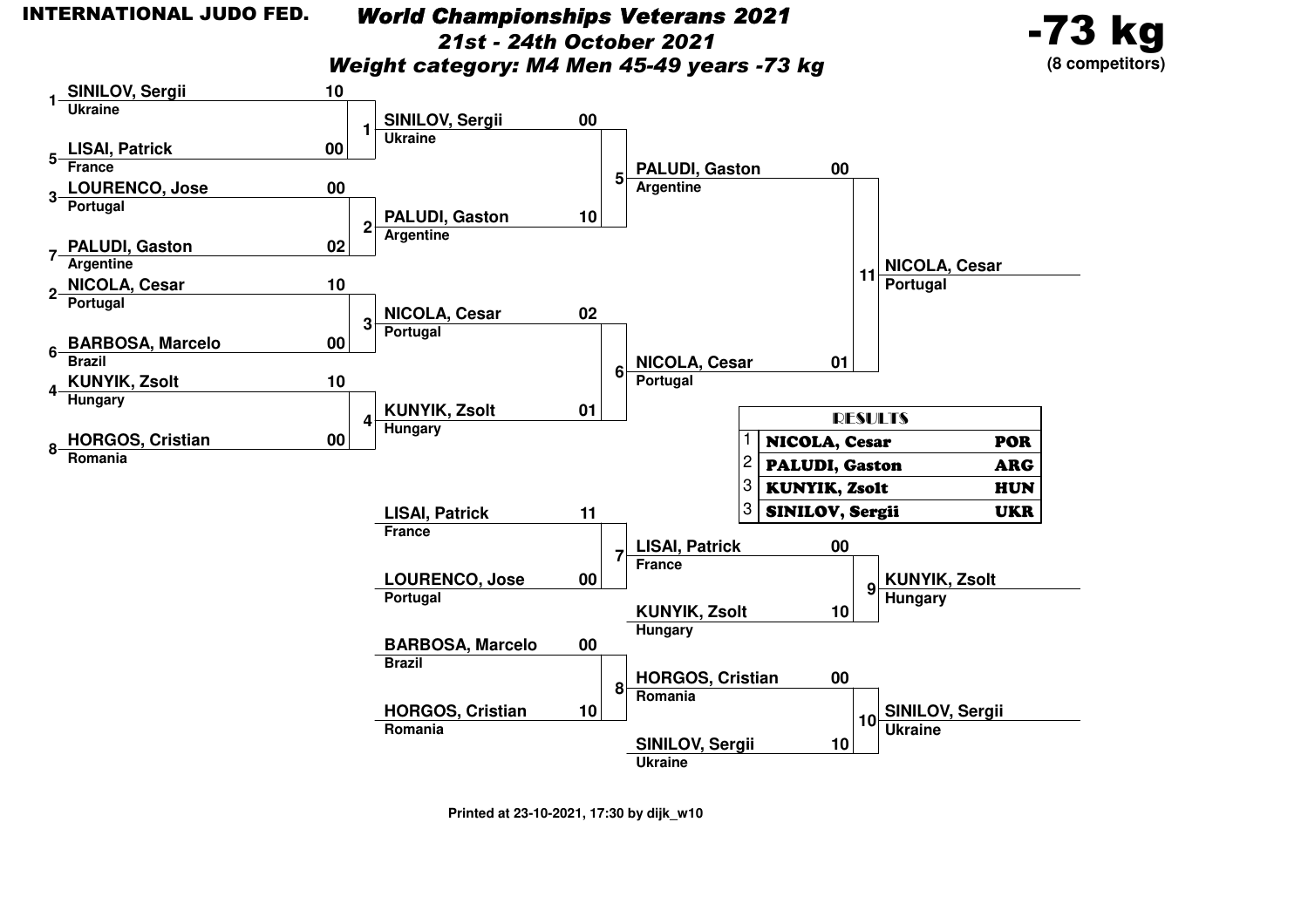# *World Championships Veterans 2021*

*21st - 24th October 2021*

*Weight category: M4 Men 45-49 years -73 kg*



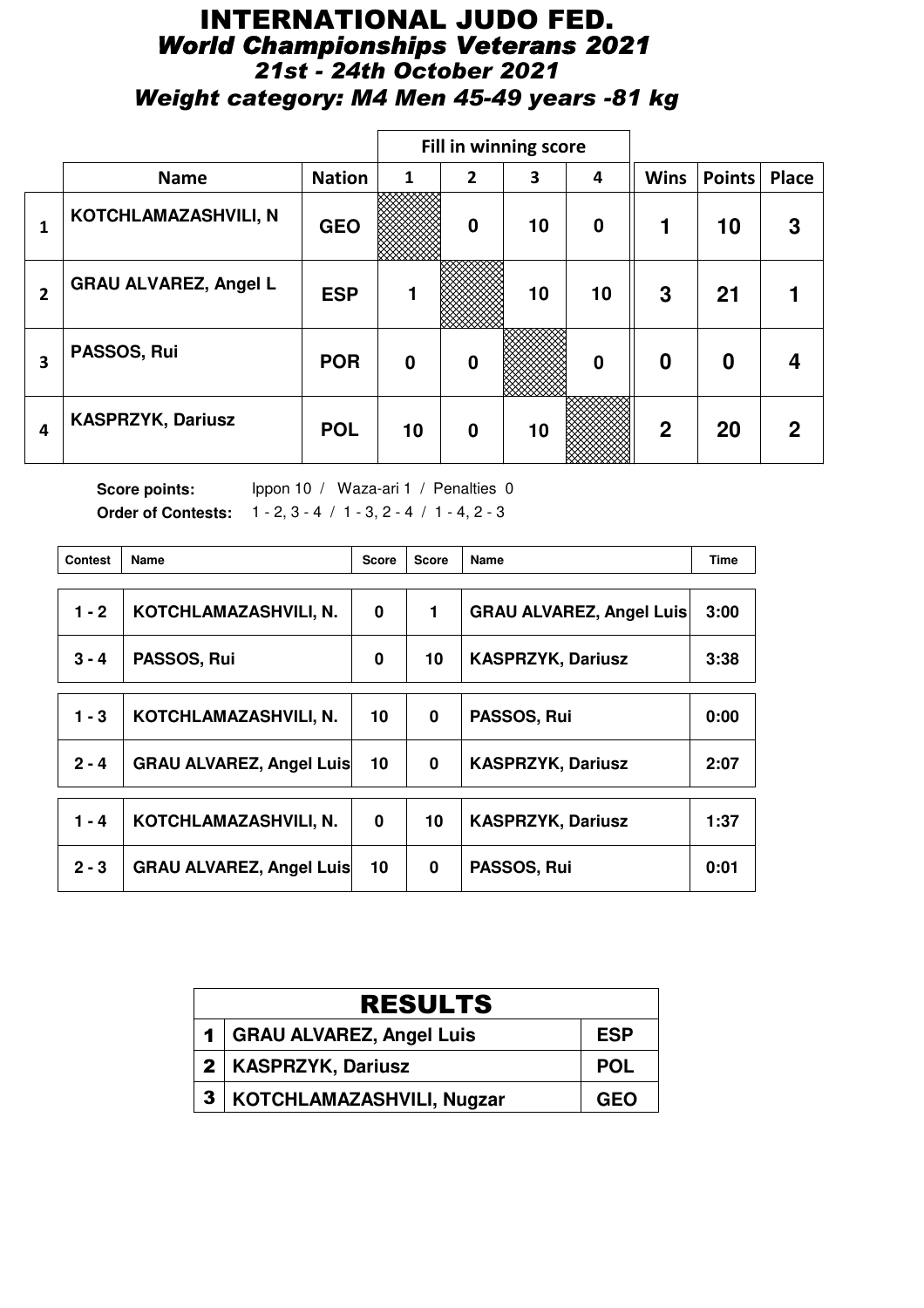## INTERNATIONAL JUDO FED. *World Championships Veterans 2021 21st - 24th October 2021 Weight category: M4 Men 45-49 years -81 kg*

|                |                              |               |              | Fill in winning score |    |          |              |               |              |
|----------------|------------------------------|---------------|--------------|-----------------------|----|----------|--------------|---------------|--------------|
|                | <b>Name</b>                  | <b>Nation</b> | $\mathbf{1}$ | $\overline{2}$        | 3  | 4        | <b>Wins</b>  | <b>Points</b> | <b>Place</b> |
| 1              | KOTCHLAMAZASHVILI, N         | <b>GEO</b>    |              | $\mathbf 0$           | 10 | $\bf{0}$ | 1            | 10            | 3            |
| $\overline{2}$ | <b>GRAU ALVAREZ, Angel L</b> | <b>ESP</b>    | 1            |                       | 10 | 10       | 3            | 21            |              |
| 3              | PASSOS, Rui                  | <b>POR</b>    | 0            | $\mathbf 0$           |    | $\bf{0}$ | 0            | 0             | 4            |
| 4              | <b>KASPRZYK, Dariusz</b>     | <b>POL</b>    | 10           | $\mathbf 0$           | 10 |          | $\mathbf{2}$ | 20            | 2            |

Score points: Ippon 10 / Waza-ari 1 / Penalties 0 **Order of Contests:** 1 - 2, 3 - 4 / 1 - 3, 2 - 4 / 1 - 4, 2 - 3

| <b>Contest</b> | Name                            | <b>Score</b> | <b>Score</b> | Name                            | <b>Time</b> |
|----------------|---------------------------------|--------------|--------------|---------------------------------|-------------|
| $1 - 2$        | KOTCHLAMAZASHVILI, N.           | 0            | 1            | <b>GRAU ALVAREZ, Angel Luis</b> | 3:00        |
| $3 - 4$        | PASSOS, Rui                     | 0            | 10           | <b>KASPRZYK, Dariusz</b>        | 3:38        |
| $1 - 3$        | KOTCHLAMAZASHVILI, N.           | 10           | $\bf{0}$     | PASSOS, Rui                     | 0:00        |
| $2 - 4$        | <b>GRAU ALVAREZ, Angel Luis</b> | 10           | 0            | <b>KASPRZYK, Dariusz</b>        | 2:07        |
| 1 - 4          | KOTCHLAMAZASHVILI, N.           | $\bf{0}$     | 10           | <b>KASPRZYK, Dariusz</b>        | 1:37        |
| $2 - 3$        | <b>GRAU ALVAREZ, Angel Luis</b> | 10           | 0            | PASSOS, Rui                     | 0:01        |

|              | <b>RESULTS</b>               |            |  |  |  |  |  |  |  |
|--------------|------------------------------|------------|--|--|--|--|--|--|--|
|              | 1   GRAU ALVAREZ, Angel Luis | <b>ESP</b> |  |  |  |  |  |  |  |
|              | 2   KASPRZYK, Dariusz        | <b>POL</b> |  |  |  |  |  |  |  |
| $\mathbf{3}$ | KOTCHLAMAZASHVILI, Nugzar    | <b>GEO</b> |  |  |  |  |  |  |  |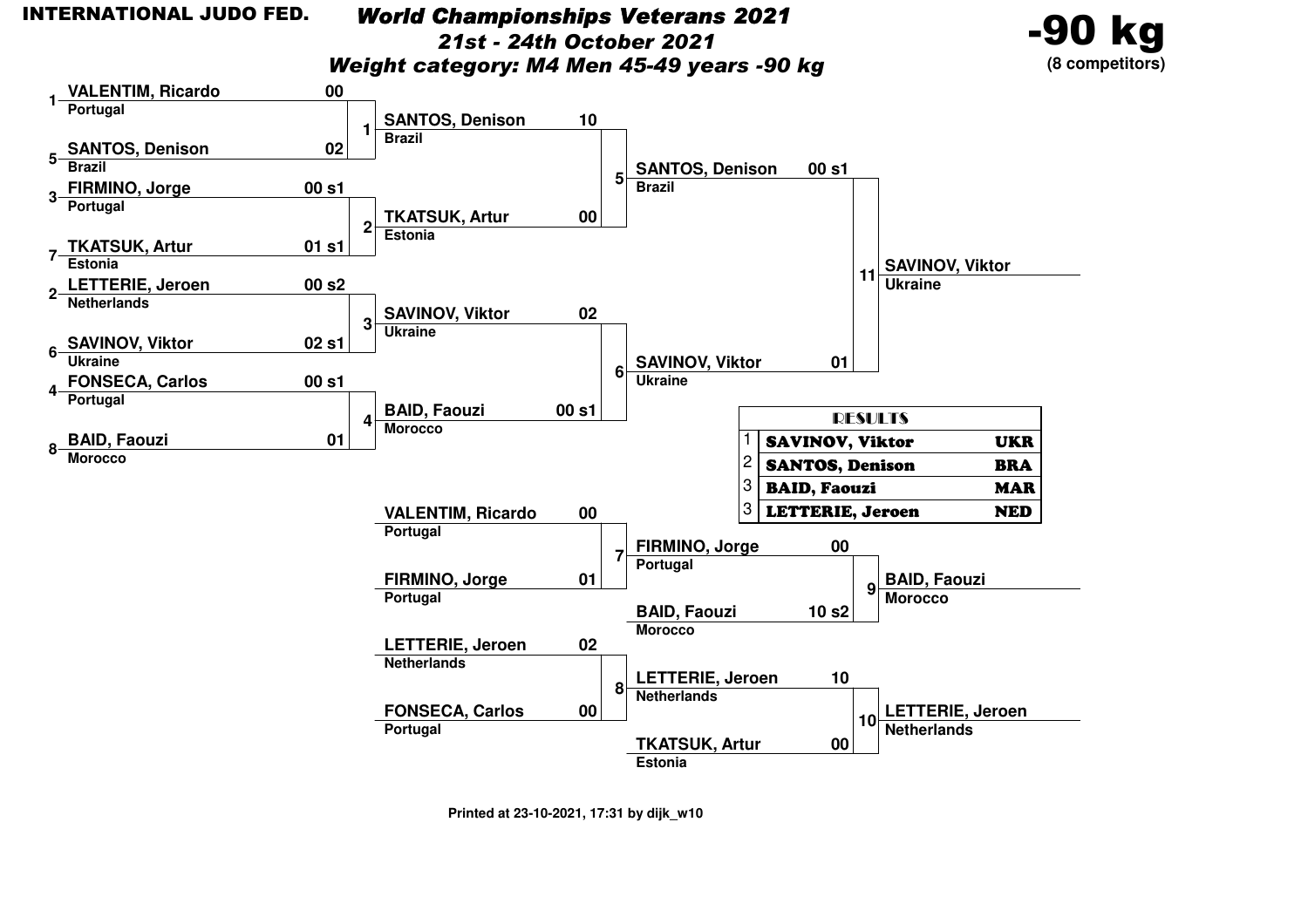### *World Championships Veterans 202121st - 24th October 2021*

*Weight category: M4 Men 45-49 years -90 kg*



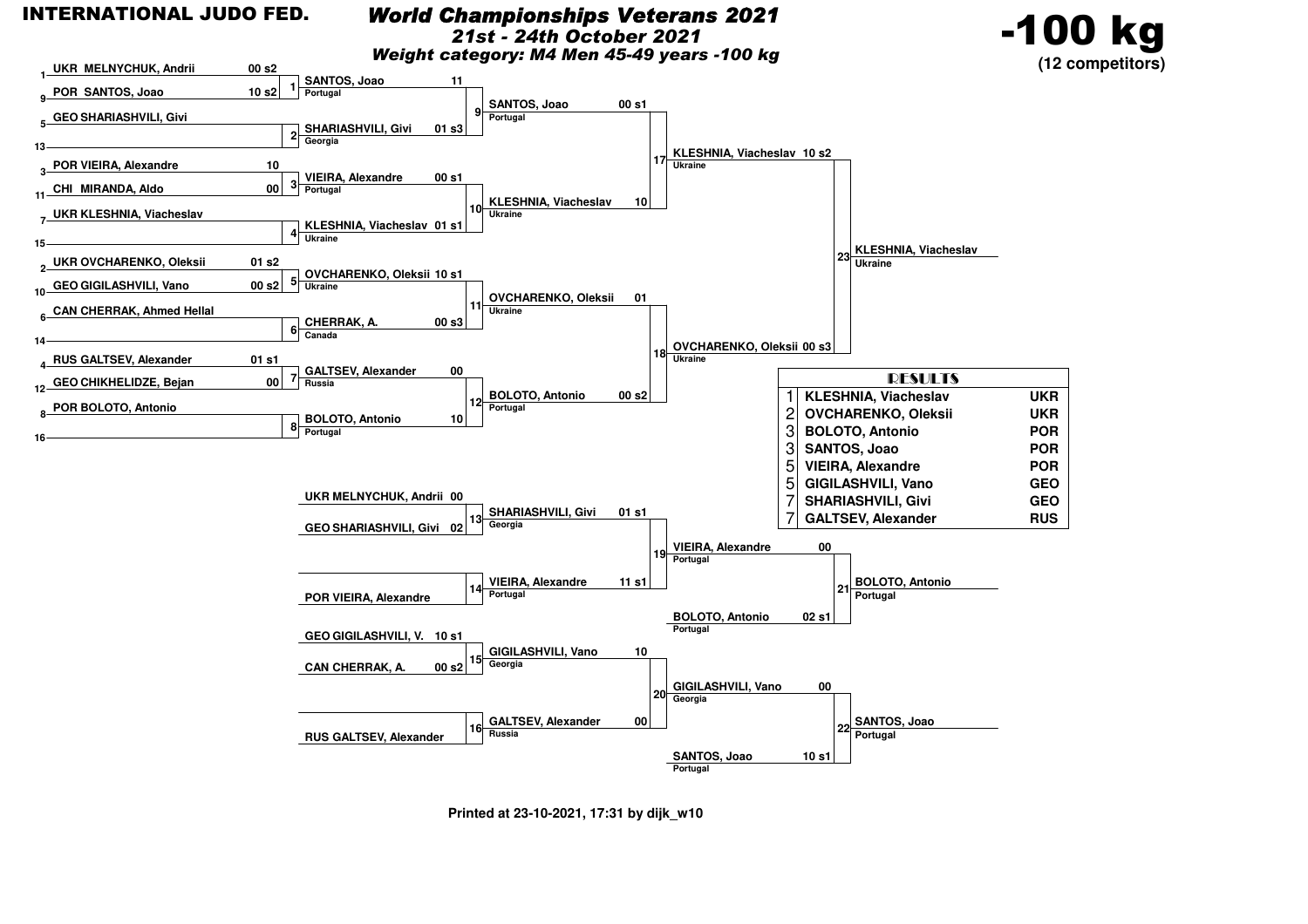#### INTERNATIONAL JUDO FED.

#### *World Championships Veterans 2021*

*21st - 24th October 2021*

-100 kg

*Weight category: M4 Men 45-49 years -100 kg*

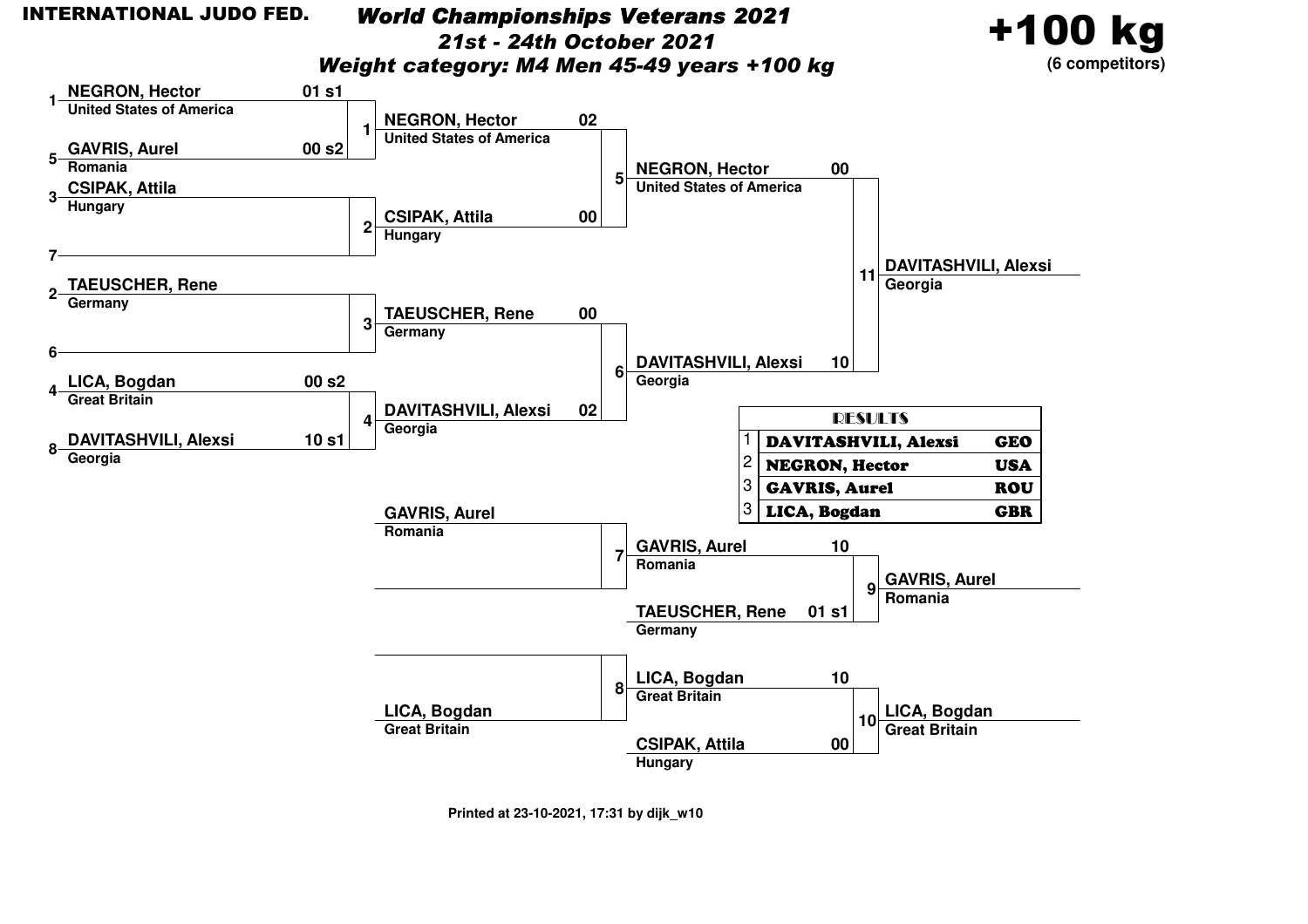#### INTERNATIONAL JUDO FED.

### *World Championships Veterans 202121st - 24th October 2021*

+100 kg

**(6 competitors)**

*Weight category: M4 Men 45-49 years +100 kg*

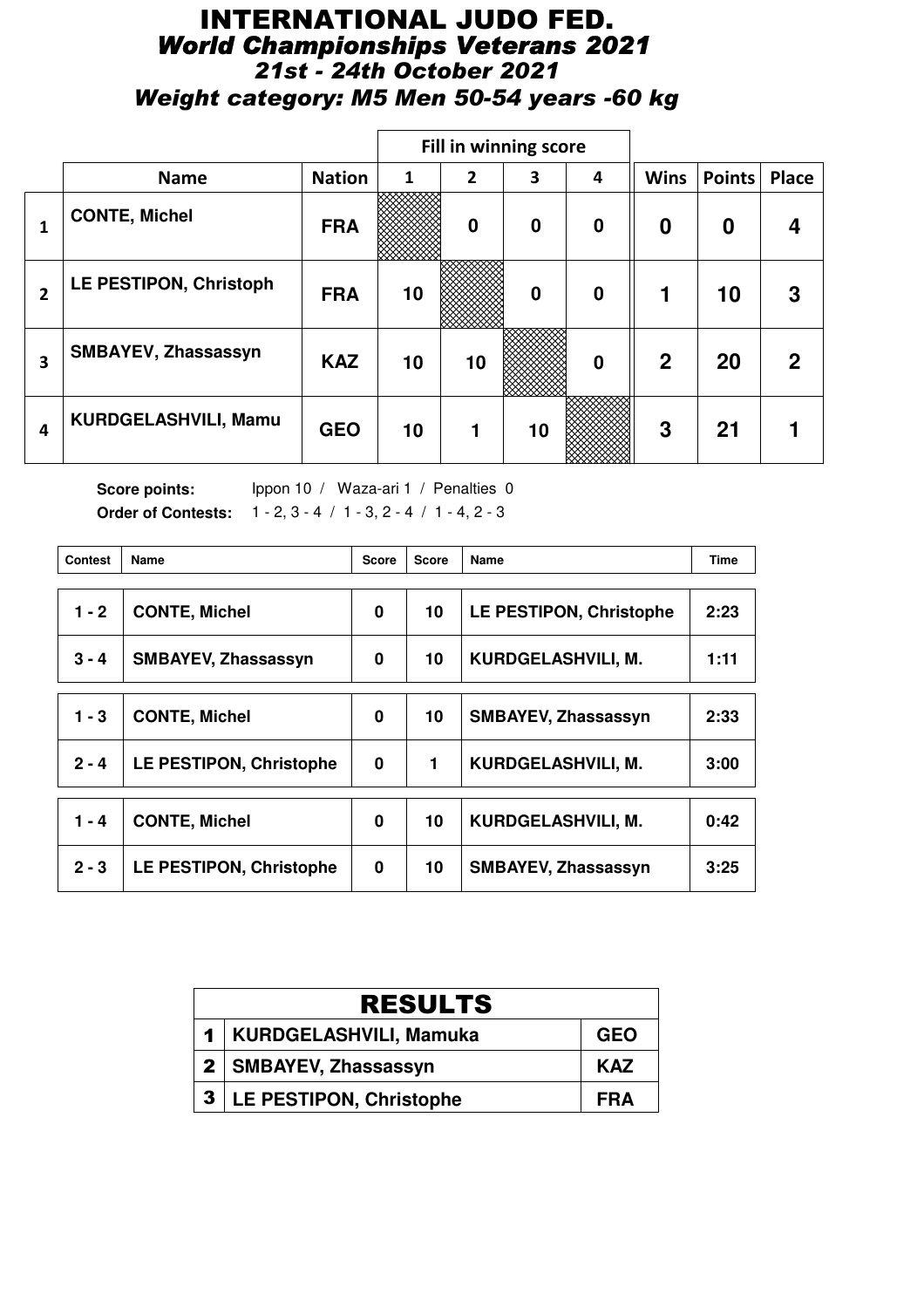## INTERNATIONAL JUDO FED. *World Championships Veterans 2021 21st - 24th October 2021 Weight category: M5 Men 50-54 years -60 kg*

|              |                               |               |    | <b>Fill in winning score</b> |             |                  |              |               |              |
|--------------|-------------------------------|---------------|----|------------------------------|-------------|------------------|--------------|---------------|--------------|
|              | <b>Name</b>                   | <b>Nation</b> | 1  | $\overline{2}$               | 3           | 4                | <b>Wins</b>  | <b>Points</b> | Place        |
| 1            | <b>CONTE, Michel</b>          | <b>FRA</b>    |    | $\mathbf 0$                  | $\mathbf 0$ | $\boldsymbol{0}$ | 0            | 0             | 4            |
| $\mathbf{2}$ | <b>LE PESTIPON, Christoph</b> | <b>FRA</b>    | 10 |                              | $\bf{0}$    | $\boldsymbol{0}$ | 1            | 10            | 3            |
| 3            | SMBAYEV, Zhassassyn           | <b>KAZ</b>    | 10 | 10                           |             | $\bf{0}$         | $\mathbf{2}$ | 20            | $\mathbf{2}$ |
| 4            | KURDGELASHVILI, Mamu          | <b>GEO</b>    | 10 | 1                            | 10          |                  | 3            | 21            |              |

Score points: Ippon 10 / Waza-ari 1 / Penalties 0 **Order of Contests:** 1 - 2, 3 - 4 / 1 - 3, 2 - 4 / 1 - 4, 2 - 3

| <b>Contest</b> | Name                           | <b>Score</b> | <b>Score</b> | Name                       | <b>Time</b> |
|----------------|--------------------------------|--------------|--------------|----------------------------|-------------|
| $1 - 2$        | <b>CONTE, Michel</b>           | 0            | 10           | LE PESTIPON, Christophe    | 2:23        |
| $3 - 4$        | <b>SMBAYEV, Zhassassyn</b>     | 0            | 10           | KURDGELASHVILI, M.         | 1:11        |
|                |                                |              |              |                            |             |
| 1 - 3          | <b>CONTE, Michel</b>           | 0            | 10           | <b>SMBAYEV, Zhassassyn</b> | 2:33        |
| $2 - 4$        | <b>LE PESTIPON, Christophe</b> | $\bf{0}$     | 1            | KURDGELASHVILI, M.         | 3:00        |
| $1 - 4$        | <b>CONTE, Michel</b>           | 0            | 10           | KURDGELASHVILI, M.         | 0:42        |
| $2 - 3$        | LE PESTIPON, Christophe        | 0            | 10           | <b>SMBAYEV, Zhassassyn</b> | 3:25        |

| <b>RESULTS</b> |                                |            |  |  |  |
|----------------|--------------------------------|------------|--|--|--|
|                | 1   KURDGELASHVILI, Mamuka     | <b>GEO</b> |  |  |  |
|                | 2   SMBAYEV, Zhassassyn        | <b>KAZ</b> |  |  |  |
| 3 <sub>1</sub> | <b>LE PESTIPON, Christophe</b> | FRA        |  |  |  |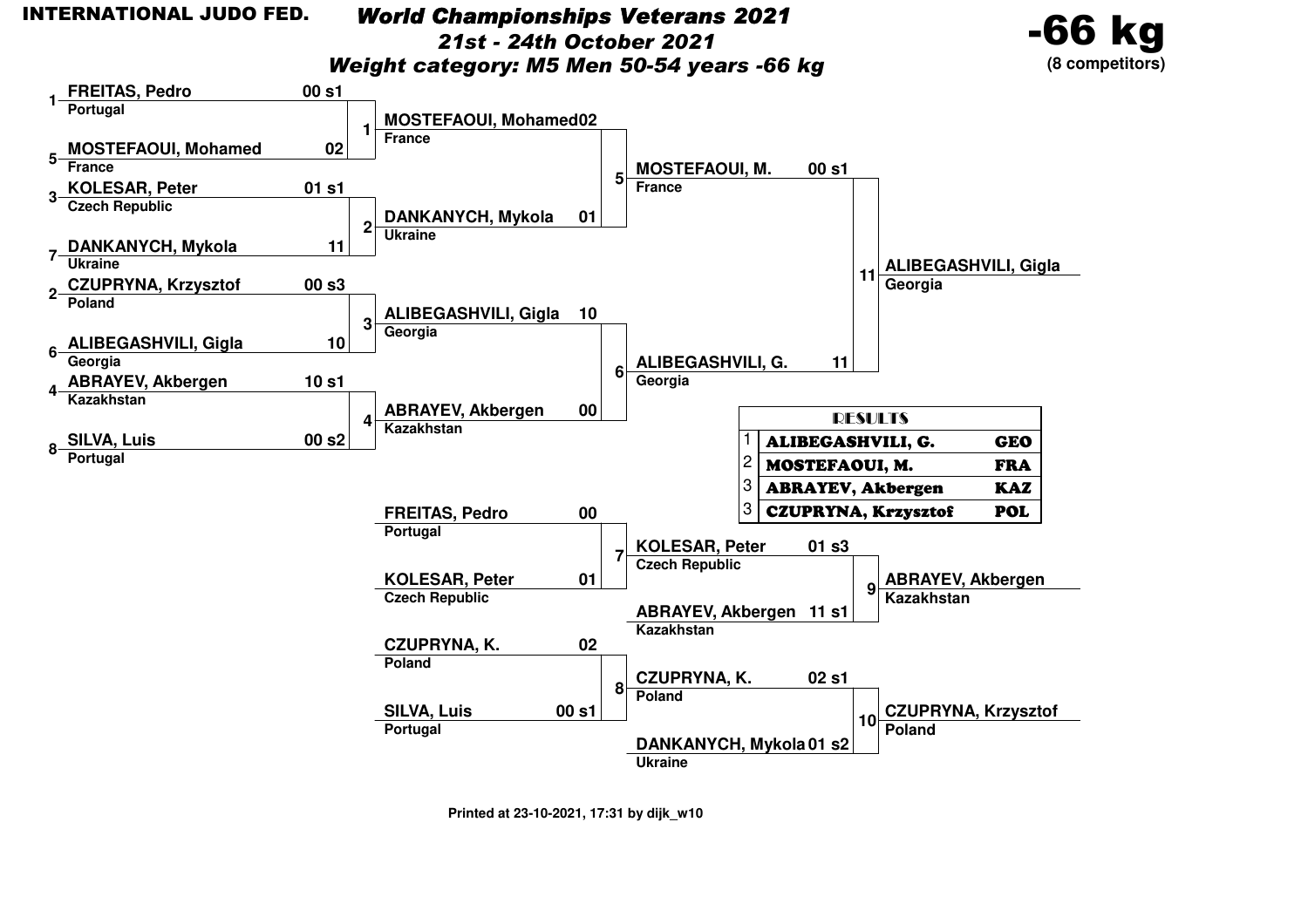## *World Championships Veterans 2021*

*21st - 24th October 2021*

-66

**(8 competitors)**

*Weight category: M5 Men 50-54 years -66 kg*

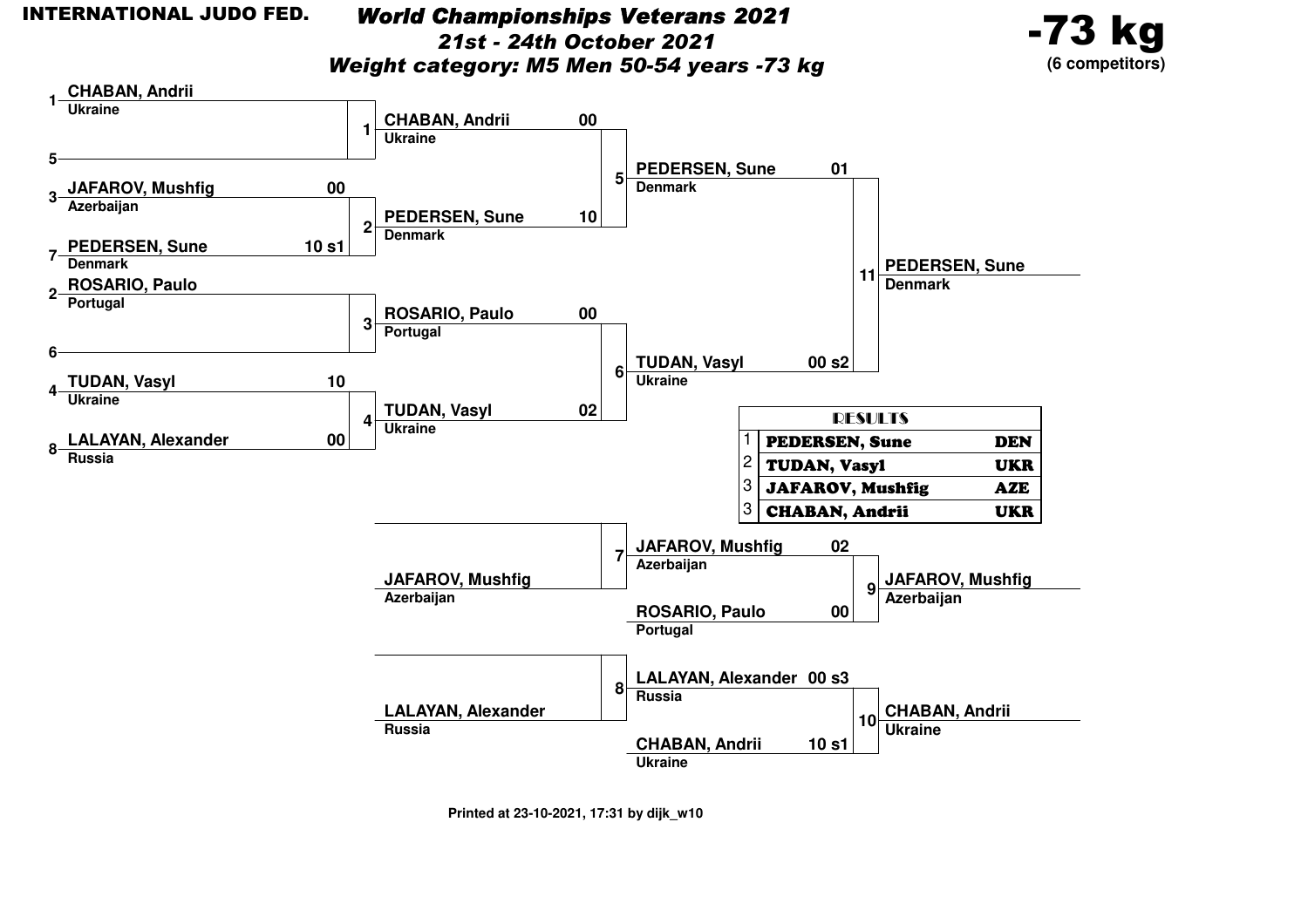### *World Championships Veterans 202121st - 24th October 2021*

*Weight category: M5 Men 50-54 years -73 kg*



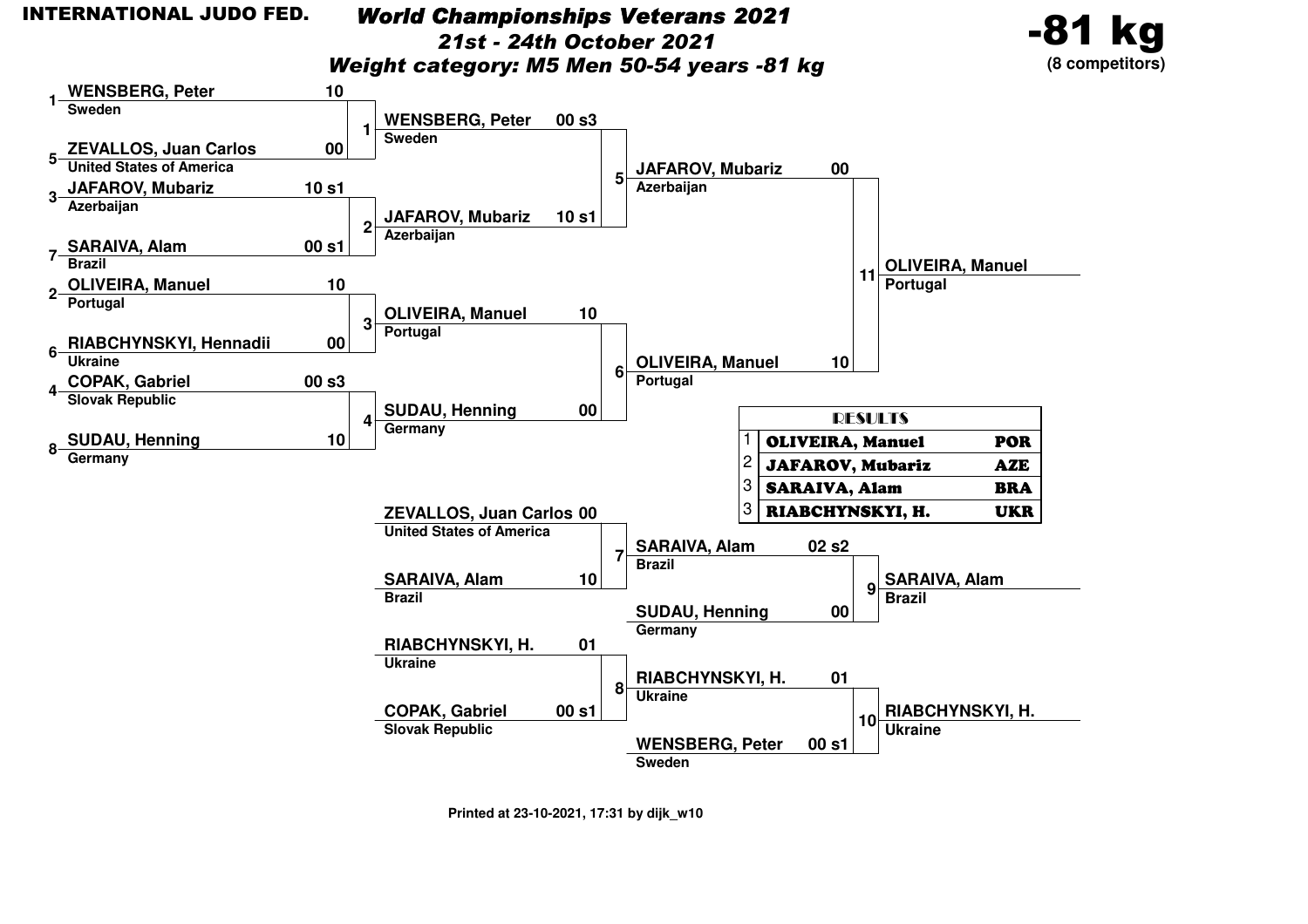#### INTERNATIONAL JUDO FED.

**1**

**5**

**3**

**2**

**6**

**4**

**8**

### *World Championships Veterans 202121st - 24th October 2021*

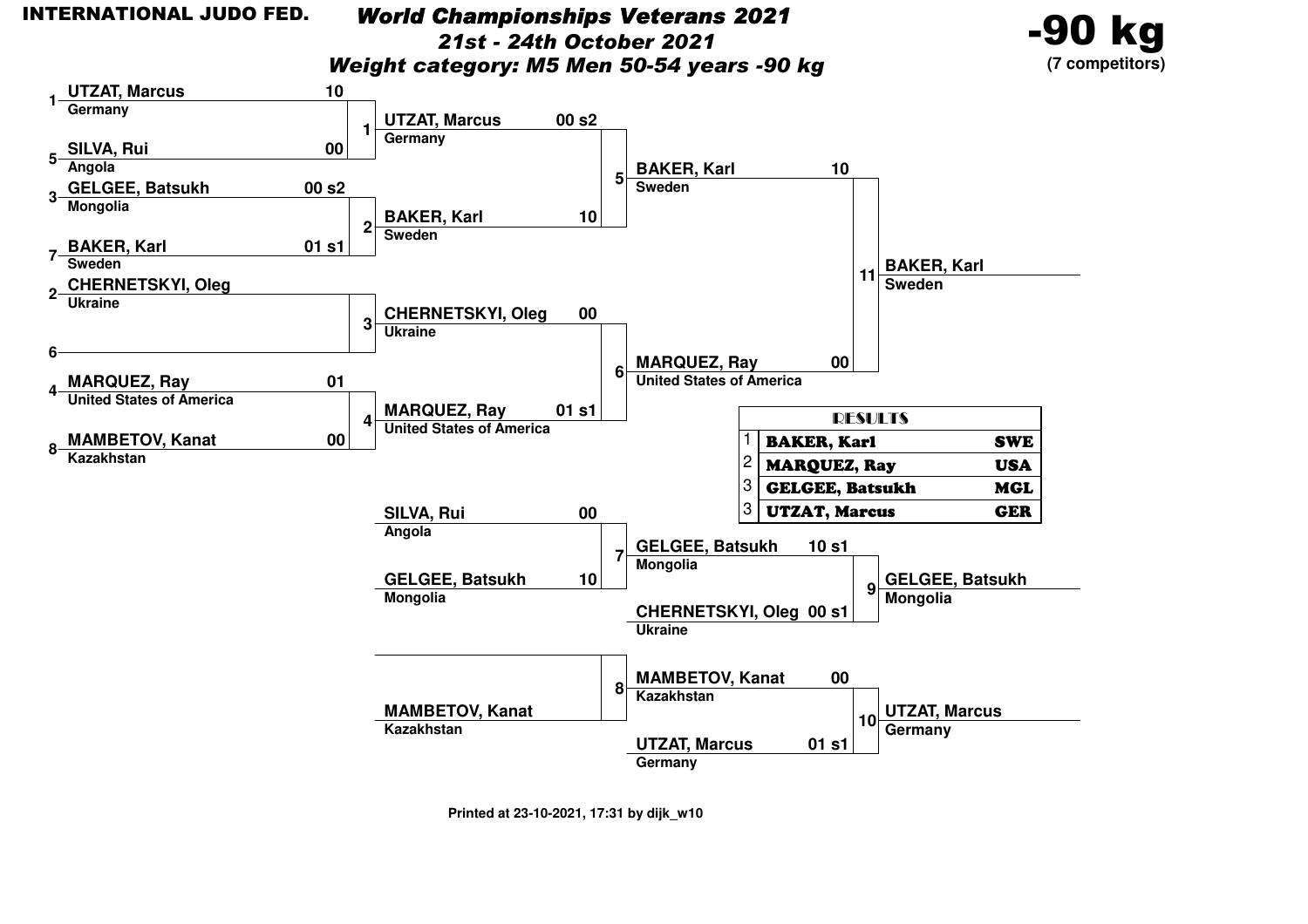**1**

**5**

**6**

**4**

### *World Championships Veterans 2021*

*21st - 24th October 2021*

-90 kg

*Weight category: M5 Men 50-54 years -90 kg*

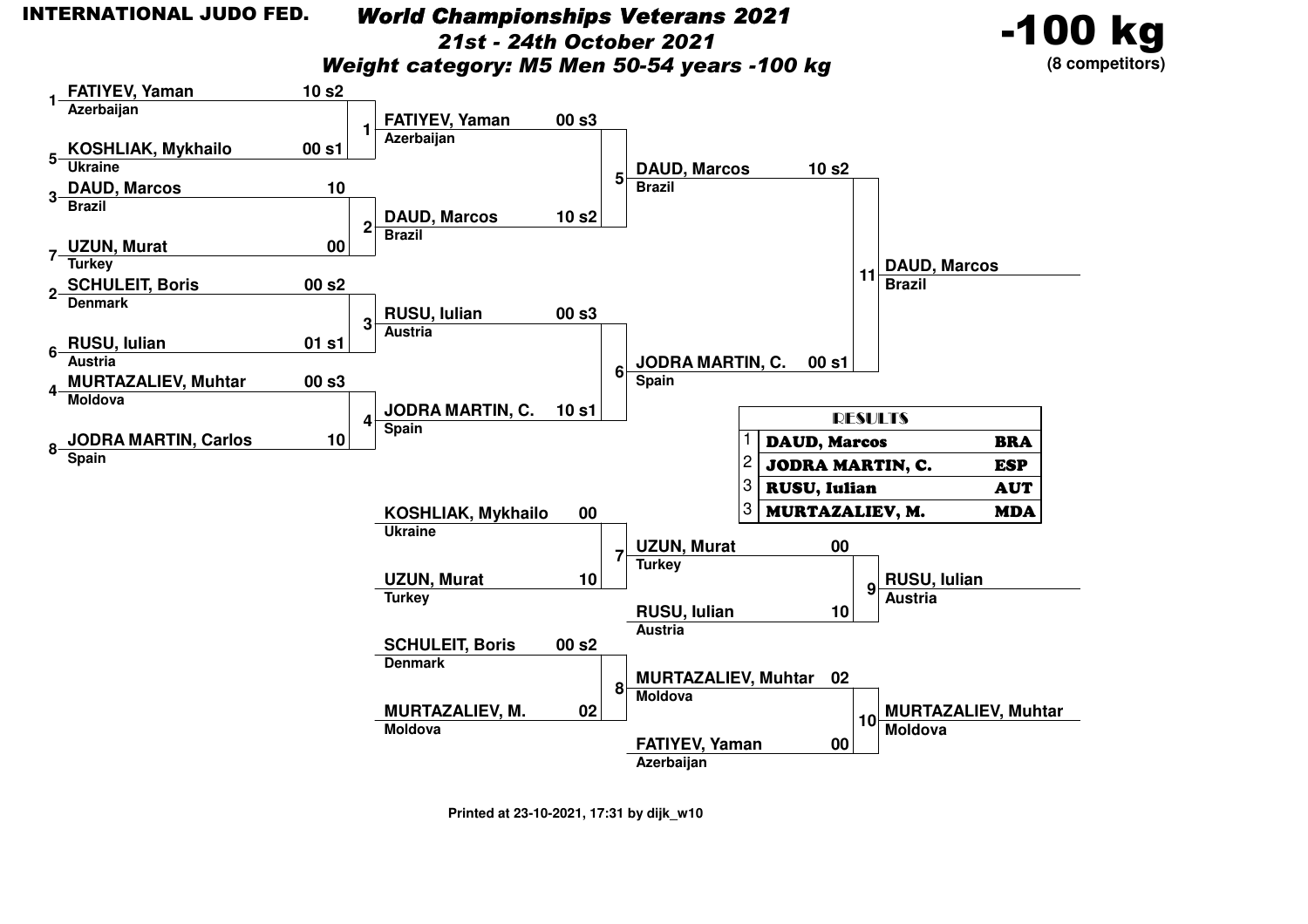**1**

**5**

**6**

**4**

**8**

### *World Championships Veterans 2021*

*21st - 24th October 2021*

-100 kg